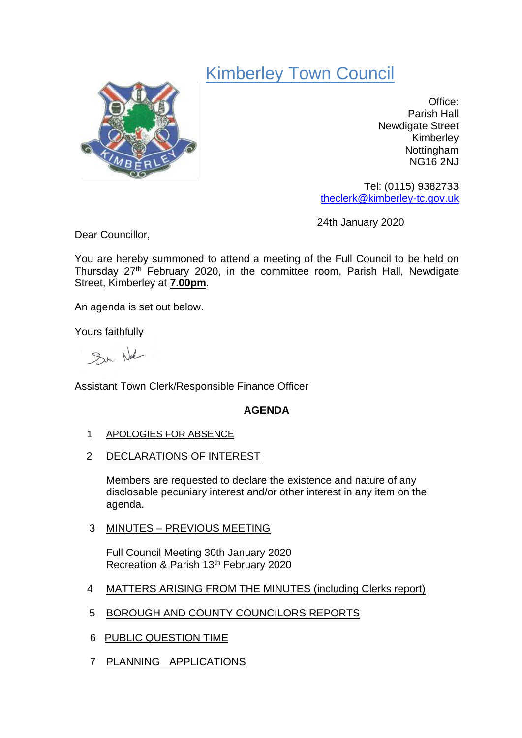# Kimberley Town Council



Office: Parish Hall Newdigate Street Kimberley Nottingham NG16 2NJ

Tel: (0115) 9382733 [theclerk@kimberley-tc.gov.uk](mailto:theclerk@kimberley-tc.gov.uk)

24th January 2020

Dear Councillor,

You are hereby summoned to attend a meeting of the Full Council to be held on Thursday 27<sup>th</sup> February 2020, in the committee room, Parish Hall, Newdigate Street, Kimberley at **7.00pm**.

An agenda is set out below.

Yours faithfully

Sur Not

Assistant Town Clerk/Responsible Finance Officer

## **AGENDA**

- 1 APOLOGIES FOR ABSENCE
- 2 DECLARATIONS OF INTEREST

Members are requested to declare the existence and nature of any disclosable pecuniary interest and/or other interest in any item on the agenda.

3 MINUTES – PREVIOUS MEETING

Full Council Meeting 30th January 2020 Recreation & Parish 13th February 2020

- 4 MATTERS ARISING FROM THE MINUTES (including Clerks report)
- 5 BOROUGH AND COUNTY COUNCILORS REPORTS
- 6 PUBLIC QUESTION TIME
- 7 PLANNING APPLICATIONS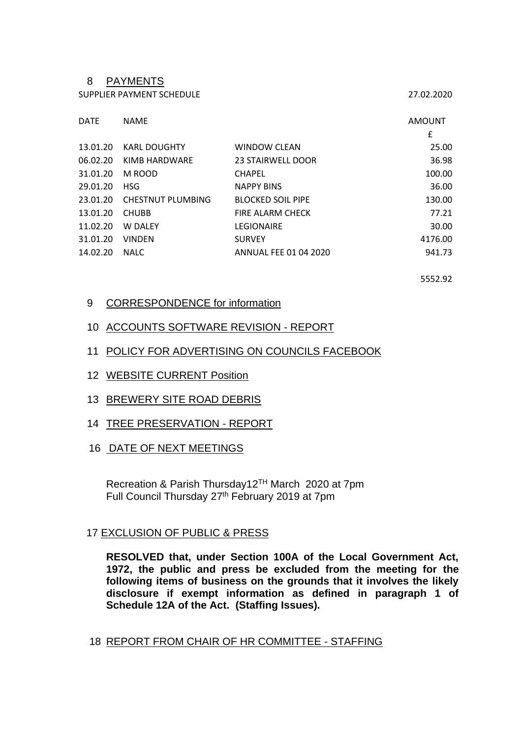### 8 PAYMENTS

SUPPLIER PAYMENT SCHEDULE 27.02.2020

| <b>DATE</b> | <b>NAME</b>              |                              | <b>AMOUNT</b> |
|-------------|--------------------------|------------------------------|---------------|
|             |                          |                              | £             |
| 13.01.20    | <b>KARL DOUGHTY</b>      | <b>WINDOW CLEAN</b>          | 25.00         |
| 06.02.20    | KIMB HARDWARE            | <b>23 STAIRWELL DOOR</b>     | 36.98         |
| 31.01.20    | M ROOD                   | <b>CHAPEL</b>                | 100.00        |
| 29.01.20    | <b>HSG</b>               | <b>NAPPY BINS</b>            | 36.00         |
| 23.01.20    | <b>CHESTNUT PLUMBING</b> | <b>BLOCKED SOIL PIPE</b>     | 130.00        |
| 13.01.20    | <b>CHUBB</b>             | FIRE ALARM CHECK             | 77.21         |
| 11.02.20    | W DALEY                  | <b>LEGIONAIRE</b>            | 30.00         |
| 31.01.20    | <b>VINDEN</b>            | <b>SURVEY</b>                | 4176.00       |
| 14.02.20    | <b>NALC</b>              | <b>ANNUAL FEE 01 04 2020</b> | 941.73        |

5552.92

#### 9 CORRESPONDENCE for information

#### 10 ACCOUNTS SOFTWARE REVISION - REPORT

- 11 POLICY FOR ADVERTISING ON COUNCILS FACEBOOK
- 12 WEBSITE CURRENT Position
- 13 BREWERY SITE ROAD DEBRIS
- 14 TREE PRESERVATION REPORT
- 16 DATE OF NEXT MEETINGS

Recreation & Parish Thursday12TH March 2020 at 7pm Full Council Thursday 27<sup>th</sup> February 2019 at 7pm

## 17 EXCLUSION OF PUBLIC & PRESS

**RESOLVED that, under Section 100A of the Local Government Act, 1972, the public and press be excluded from the meeting for the following items of business on the grounds that it involves the likely disclosure if exempt information as defined in paragraph 1 of Schedule 12A of the Act. (Staffing Issues).**

18 REPORT FROM CHAIR OF HR COMMITTEE - STAFFING